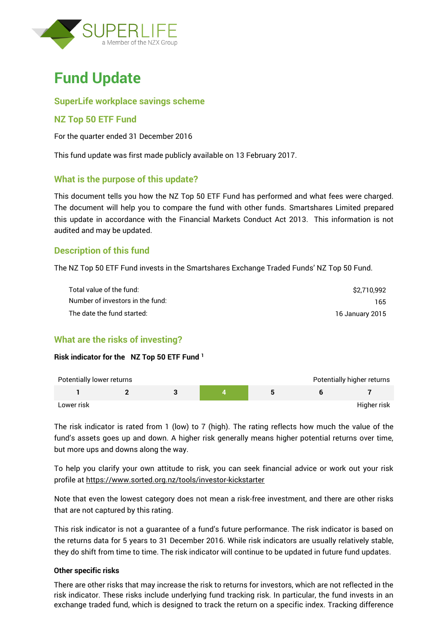



### **SuperLife workplace savings scheme**

### **NZ Top 50 ETF Fund**

For the quarter ended 31 December 2016

This fund update was first made publicly available on 13 February 2017.

#### **What is the purpose of this update?**

This document tells you how the NZ Top 50 ETF Fund has performed and what fees were charged. The document will help you to compare the fund with other funds. Smartshares Limited prepared this update in accordance with the Financial Markets Conduct Act 2013. This information is not audited and may be updated.

### **Description of this fund**

The NZ Top 50 ETF Fund invests in the Smartshares Exchange Traded Funds' NZ Top 50 Fund.

| Total value of the fund:         | \$2.710.992     |
|----------------------------------|-----------------|
| Number of investors in the fund: | 165             |
| The date the fund started:       | 16 January 2015 |

### **What are the risks of investing?**

#### **Risk indicator for the NZ Top 50 ETF Fund <sup>1</sup>**

| Potentially lower returns |  |  | Potentially higher returns |
|---------------------------|--|--|----------------------------|
|                           |  |  |                            |
| Lower risk                |  |  | Higher risk                |

The risk indicator is rated from 1 (low) to 7 (high). The rating reflects how much the value of the fund's assets goes up and down. A higher risk generally means higher potential returns over time, but more ups and downs along the way.

To help you clarify your own attitude to risk, you can seek financial advice or work out your risk profile at<https://www.sorted.org.nz/tools/investor-kickstarter>

Note that even the lowest category does not mean a risk-free investment, and there are other risks that are not captured by this rating.

This risk indicator is not a guarantee of a fund's future performance. The risk indicator is based on the returns data for 5 years to 31 December 2016. While risk indicators are usually relatively stable, they do shift from time to time. The risk indicator will continue to be updated in future fund updates.

#### **Other specific risks**

There are other risks that may increase the risk to returns for investors, which are not reflected in the risk indicator. These risks include underlying fund tracking risk. In particular, the fund invests in an exchange traded fund, which is designed to track the return on a specific index. Tracking difference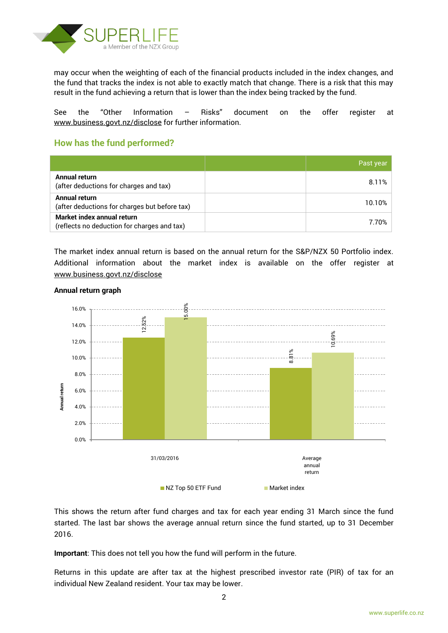

may occur when the weighting of each of the financial products included in the index changes, and the fund that tracks the index is not able to exactly match that change. There is a risk that this may result in the fund achieving a return that is lower than the index being tracked by the fund.

See the "Other Information – Risks" document on the offer register at www.business.govt.nz/disclose for further information.

# **How has the fund performed?**

|                                                                           | Past year |
|---------------------------------------------------------------------------|-----------|
| Annual return<br>(after deductions for charges and tax)                   | 8.11%     |
| Annual return<br>(after deductions for charges but before tax)            | 10.10%    |
| Market index annual return<br>(reflects no deduction for charges and tax) | 7.70%     |

The market index annual return is based on the annual return for the S&P/NZX 50 Portfolio index. Additional information about the market index is available on the offer register at [www.business.govt.nz/disclose](http://www.business.govt.nz/disclose)



#### **Annual return graph**

This shows the return after fund charges and tax for each year ending 31 March since the fund started. The last bar shows the average annual return since the fund started, up to 31 December 2016.

**Important**: This does not tell you how the fund will perform in the future.

Returns in this update are after tax at the highest prescribed investor rate (PIR) of tax for an

2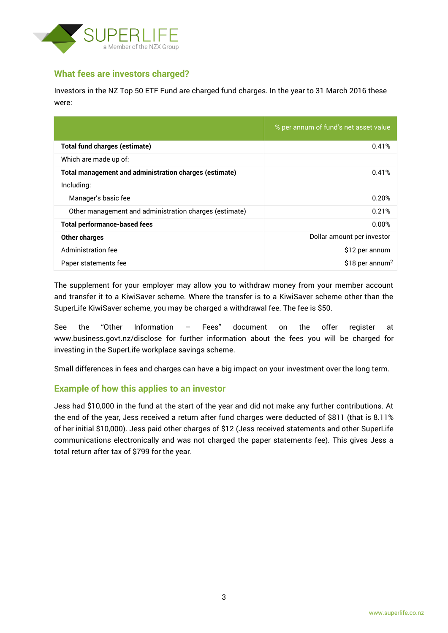

# **What fees are investors charged?**

Investors in the NZ Top 50 ETF Fund are charged fund charges. In the year to 31 March 2016 these were:

|                                                        | % per annum of fund's net asset value |
|--------------------------------------------------------|---------------------------------------|
| <b>Total fund charges (estimate)</b>                   | 0.41%                                 |
| Which are made up of:                                  |                                       |
| Total management and administration charges (estimate) | 0.41%                                 |
| Including:                                             |                                       |
| Manager's basic fee                                    | 0.20%                                 |
| Other management and administration charges (estimate) | 0.21%                                 |
| <b>Total performance-based fees</b>                    | 0.00%                                 |
| <b>Other charges</b>                                   | Dollar amount per investor            |
| Administration fee                                     | \$12 per annum                        |
| Paper statements fee                                   | \$18 per annum <sup>2</sup>           |

The supplement for your employer may allow you to withdraw money from your member account and transfer it to a KiwiSaver scheme. Where the transfer is to a KiwiSaver scheme other than the SuperLife KiwiSaver scheme, you may be charged a withdrawal fee. The fee is \$50.

See the "Other Information – Fees" document on the offer register at www.business.govt.nz/disclose for further information about the fees you will be charged for investing in the SuperLife workplace savings scheme.

Small differences in fees and charges can have a big impact on your investment over the long term.

### **Example of how this applies to an investor**

Jess had \$10,000 in the fund at the start of the year and did not make any further contributions. At the end of the year, Jess received a return after fund charges were deducted of \$811 (that is 8.11% of her initial \$10,000). Jess paid other charges of \$12 (Jess received statements and other SuperLife communications electronically and was not charged the paper statements fee). This gives Jess a total return after tax of \$799 for the year.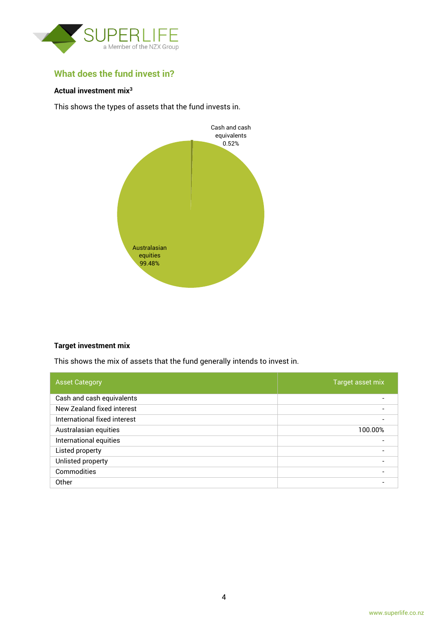

# **What does the fund invest in?**

#### **Actual investment mix<sup>3</sup>**

This shows the types of assets that the fund invests in.



#### **Target investment mix**

This shows the mix of assets that the fund generally intends to invest in.

| <b>Asset Category</b>        | Target asset mix |
|------------------------------|------------------|
| Cash and cash equivalents    |                  |
| New Zealand fixed interest   |                  |
| International fixed interest |                  |
| Australasian equities        | 100.00%          |
| International equities       |                  |
| Listed property              |                  |
| Unlisted property            |                  |
| Commodities                  |                  |
| Other                        |                  |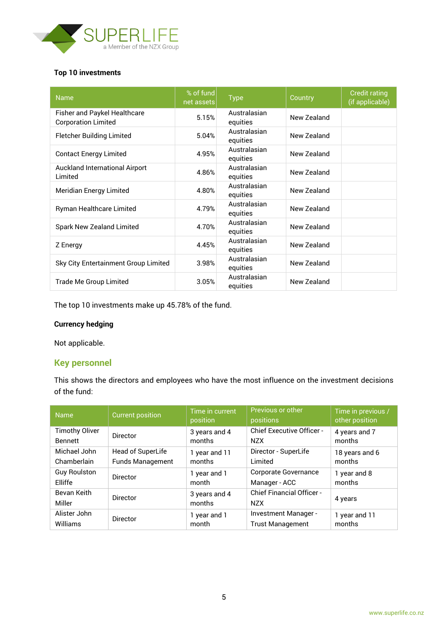

#### **Top 10 investments**

| <b>Name</b>                                                | % of fund<br>net assets | <b>Type</b>              | Country     | <b>Credit rating</b><br>(if applicable) |
|------------------------------------------------------------|-------------------------|--------------------------|-------------|-----------------------------------------|
| Fisher and Paykel Healthcare<br><b>Corporation Limited</b> | 5.15%                   | Australasian<br>equities | New Zealand |                                         |
| <b>Fletcher Building Limited</b>                           | 5.04%                   | Australasian<br>equities | New Zealand |                                         |
| <b>Contact Energy Limited</b>                              | 4.95%                   | Australasian<br>equities | New Zealand |                                         |
| <b>Auckland International Airport</b><br>Limited           | 4.86%                   | Australasian<br>equities | New Zealand |                                         |
| Meridian Energy Limited                                    | 4.80%                   | Australasian<br>equities | New Zealand |                                         |
| Ryman Healthcare Limited                                   | 4.79%                   | Australasian<br>equities | New Zealand |                                         |
| Spark New Zealand Limited                                  | 4.70%                   | Australasian<br>equities | New Zealand |                                         |
| Z Energy                                                   | 4.45%                   | Australasian<br>equities | New Zealand |                                         |
| Sky City Entertainment Group Limited                       | 3.98%                   | Australasian<br>equities | New Zealand |                                         |
| Trade Me Group Limited                                     | 3.05%                   | Australasian<br>equities | New Zealand |                                         |

The top 10 investments make up 45.78% of the fund.

### **Currency hedging**

Not applicable.

# **Key personnel**

This shows the directors and employees who have the most influence on the investment decisions of the fund:

| <b>Name</b>           | <b>Current position</b> | Time in current<br>position | Previous or other<br>positions                 | Time in previous /<br>other position |
|-----------------------|-------------------------|-----------------------------|------------------------------------------------|--------------------------------------|
| <b>Timothy Oliver</b> | Director                | 3 years and 4               | <b>Chief Executive Officer -</b>               | 4 years and 7                        |
| <b>Bennett</b>        |                         | months                      | <b>NZX</b>                                     | months                               |
| Michael John          | Head of SuperLife       | 1 year and 11               | Director - SuperLife                           | 18 years and 6                       |
| Chamberlain           | <b>Funds Management</b> | months                      | Limited                                        | months                               |
| <b>Guy Roulston</b>   | <b>Director</b>         | 1 year and 1                | Corporate Governance                           | 1 year and 8                         |
| Elliffe               |                         | month                       | Manager - ACC                                  | months                               |
| Bevan Keith<br>Miller | <b>Director</b>         | 3 years and 4<br>months     | <b>Chief Financial Officer -</b><br><b>NZX</b> | 4 years                              |
| Alister John          | <b>Director</b>         | 1 year and 1                | Investment Manager -                           | 1 year and 11                        |
| Williams              |                         | month                       | <b>Trust Management</b>                        | months                               |